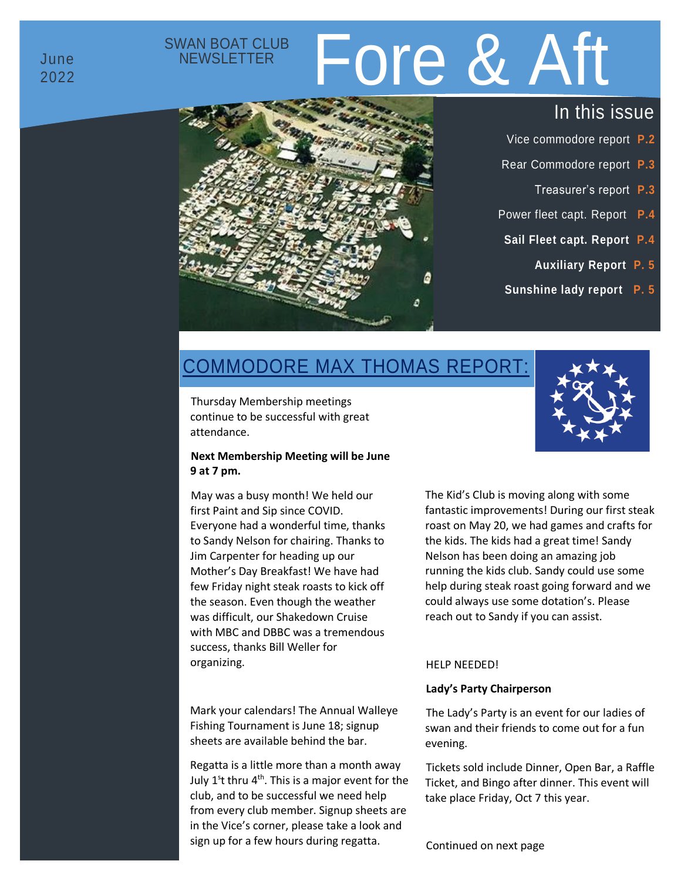# SWAN BOAT CLUB<br>NEWSLETTER Fore & Aft



- Vice commodore report **P.2**
- Rear Commodore report **P.3**
	- Treasurer's report **P.3**
- Power fleet capt. Report **P.4**
- **Sail Fleet capt. Report P.4**
	- **Auxiliary Report P. 5**
- **Sunshine lady report P. 5**

# COMMODORE MAX THOMAS REPORT:

Thursday Membership meetings continue to be successful with great attendance.

#### **Next Membership Meeting will be June 9 at 7 pm.**

May was a busy month! We held our first Paint and Sip since COVID. Everyone had a wonderful time, thanks to Sandy Nelson for chairing. Thanks to Jim Carpenter for heading up our Mother's Day Breakfast! We have had few Friday night steak roasts to kick off the season. Even though the weather was difficult, our Shakedown Cruise with MBC and DBBC was a tremendous success, thanks Bill Weller for organizing.

Mark your calendars! The Annual Walleye Fishing Tournament is June 18; signup sheets are available behind the bar.

Regatta is a little more than a month away July 1<sup>s</sup>t thru 4<sup>th</sup>. This is a major event for the club, and to be successful we need help from every club member. Signup sheets are in the Vice's corner, please take a look and sign up for a few hours during regatta.

The Kid's Club is moving along with some fantastic improvements! During our first steak roast on May 20, we had games and crafts for the kids. The kids had a great time! Sandy Nelson has been doing an amazing job running the kids club. Sandy could use some help during steak roast going forward and we could always use some dotation's. Please reach out to Sandy if you can assist.

#### HELP NEEDED!

### **Lady's Party Chairperson**

The Lady's Party is an event for our ladies of swan and their friends to come out for a fun evening.

Tickets sold include Dinner, Open Bar, a Raffle Ticket, and Bingo after dinner. This event will take place Friday, Oct 7 this year.

Continued on next page

June 2022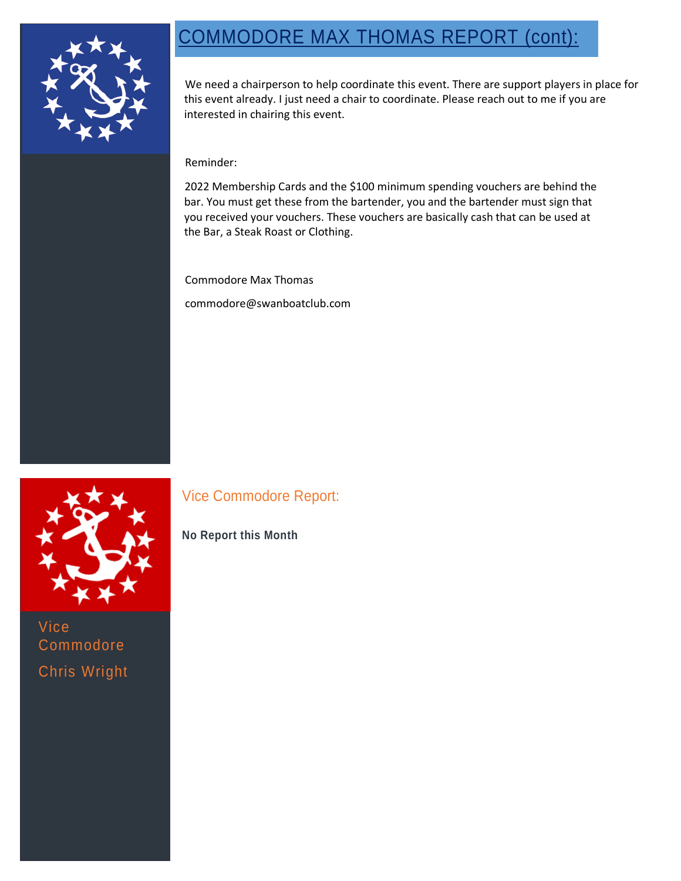# COMMODORE MAX THOMAS REPORT (cont):



We need a chairperson to help coordinate this event. There are support players in place for this event already. I just need a chair to coordinate. Please reach out to me if you are interested in chairing this event.

### Reminder:

2022 Membership Cards and the \$100 minimum spending vouchers are behind the bar. You must get these from the bartender, you and the bartender must sign that you received your vouchers. These vouchers are basically cash that can be used at the Bar, a Steak Roast or Clothing.

Commodore Max Thomas

commodore@swanboatclub.com



Vice Commodore Chris Wright

## Vice Commodore Report:

## **No Report this Month**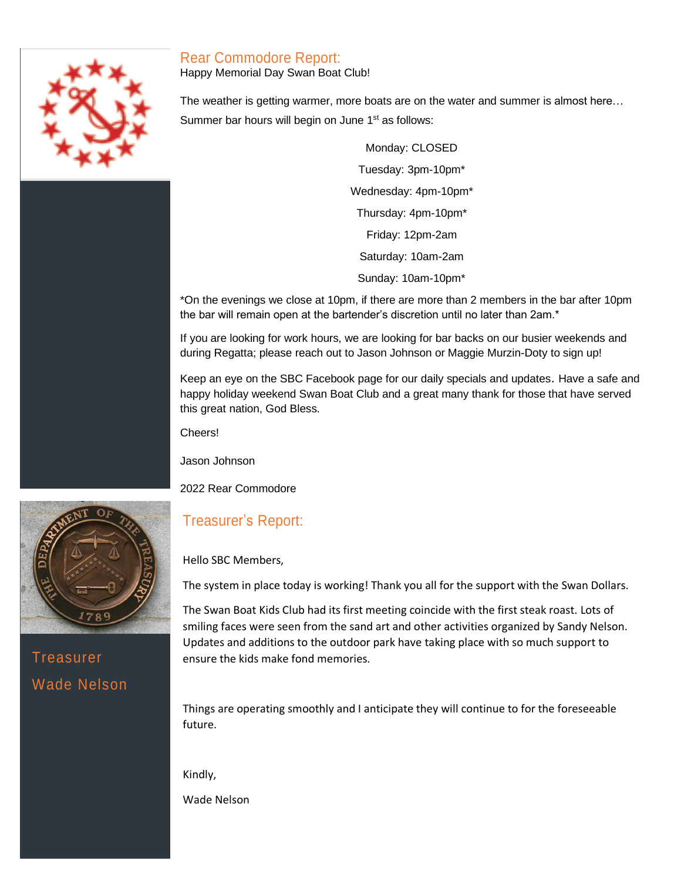## Rear Commodore Report:

Happy Memorial Day Swan Boat Club!

The weather is getting warmer, more boats are on the water and summer is almost here… Summer bar hours will begin on June 1<sup>st</sup> as follows:

> Monday: CLOSED Tuesday: 3pm-10pm\* Wednesday: 4pm-10pm\* Thursday: 4pm-10pm\* Friday: 12pm-2am Saturday: 10am-2am Sunday: 10am-10pm\*

\*On the evenings we close at 10pm, if there are more than 2 members in the bar after 10pm the bar will remain open at the bartender's discretion until no later than 2am.\*

If you are looking for work hours, we are looking for bar backs on our busier weekends and during Regatta; please reach out to Jason Johnson or Maggie Murzin-Doty to sign up!

Keep an eye on the SBC Facebook page for our daily specials and updates. Have a safe and happy holiday weekend Swan Boat Club and a great many thank for those that have served this great nation, God Bless.

Cheers!

Jason Johnson

2022 Rear Commodore

## Treasurer's Report:

Hello SBC Members,

The system in place today is working! Thank you all for the support with the Swan Dollars.

The Swan Boat Kids Club had its first meeting coincide with the first steak roast. Lots of smiling faces were seen from the sand art and other activities organized by Sandy Nelson. Updates and additions to the outdoor park have taking place with so much support to ensure the kids make fond memories.

Things are operating smoothly and I anticipate they will continue to for the foreseeable future.

Kindly,

Wade Nelson



**Treasurer** Wade Nelson

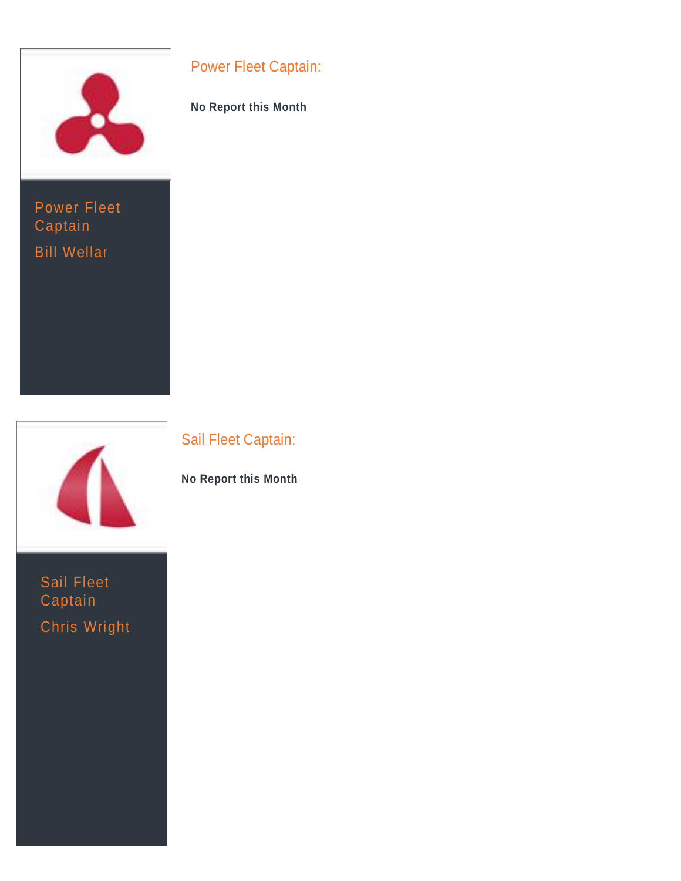

Power Fleet **Captain** Bill Wellar



Sail Fleet Captain Chris Wright

## Power Fleet Captain:

**No Report this Month**

Sail Fleet Captain:

**No Report this Month**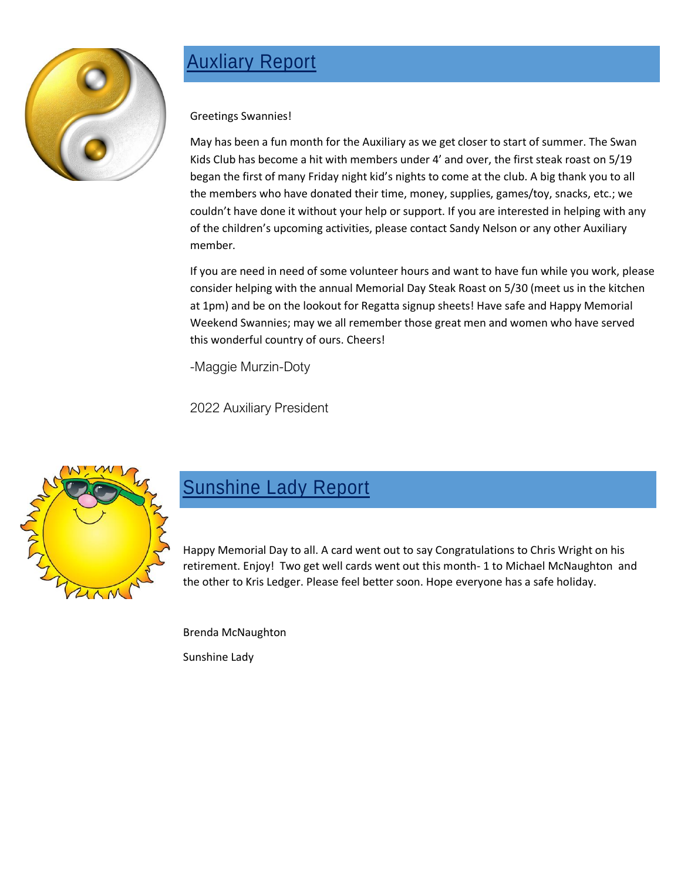

# **Auxliary Report**

Greetings Swannies!

May has been a fun month for the Auxiliary as we get closer to start of summer. The Swan Kids Club has become a hit with members under 4' and over, the first steak roast on 5/19 began the first of many Friday night kid's nights to come at the club. A big thank you to all the members who have donated their time, money, supplies, games/toy, snacks, etc.; we couldn't have done it without your help or support. If you are interested in helping with any of the children's upcoming activities, please contact Sandy Nelson or any other Auxiliary member.

If you are need in need of some volunteer hours and want to have fun while you work, please consider helping with the annual Memorial Day Steak Roast on 5/30 (meet us in the kitchen at 1pm) and be on the lookout for Regatta signup sheets! Have safe and Happy Memorial Weekend Swannies; may we all remember those great men and women who have served this wonderful country of ours. Cheers!

-Maggie Murzin-Doty

2022 Auxiliary President



# **Sunshine Lady Report**

Happy Memorial Day to all. A card went out to say Congratulations to Chris Wright on his retirement. Enjoy! Two get well cards went out this month- 1 to Michael McNaughton and the other to Kris Ledger. Please feel better soon. Hope everyone has a safe holiday.

Brenda McNaughton

Sunshine Lady